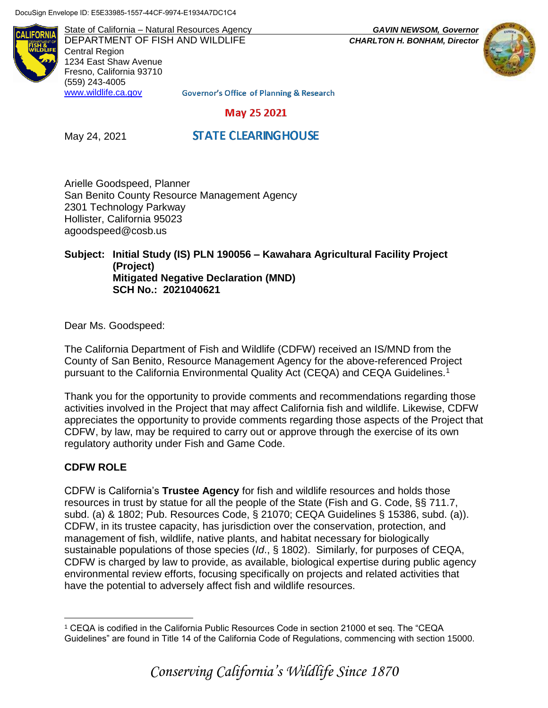DocuSign Envelope ID: E5E33985-1557-44CF-9974-E1934A7DC1C4

**ALIFORN** 

State of California – Natural Resources Agency *GAVIN NEWSOM, Governor* DEPARTMENT OF FISH AND WILDLIFE *CHARLTON H. BONHAM, Director*  Central Region 1234 East Shaw Avenue Fresno, California 93710 (559) 243-4005 [www.wildlife.ca.gov](http://www.wildlife.ca.gov/)



**Governor's Office of Planning & Research** 

### May 25 2021

May 24, 2021

# **STATE CLEARING HOUSE**

Arielle Goodspeed, Planner San Benito County Resource Management Agency 2301 Technology Parkway Hollister, California 95023 agoodspeed@cosb.us

#### **Subject: Initial Study (IS) PLN 190056 – Kawahara Agricultural Facility Project (Project) Mitigated Negative Declaration (MND) SCH No.: 2021040621**

Dear Ms. Goodspeed:

The California Department of Fish and Wildlife (CDFW) received an IS/MND from the County of San Benito, Resource Management Agency for the above-referenced Project pursuant to the California Environmental Quality Act (CEQA) and CEQA Guidelines.<sup>1</sup>

Thank you for the opportunity to provide comments and recommendations regarding those activities involved in the Project that may affect California fish and wildlife. Likewise, CDFW appreciates the opportunity to provide comments regarding those aspects of the Project that CDFW, by law, may be required to carry out or approve through the exercise of its own regulatory authority under Fish and Game Code.

# **CDFW ROLE**

 $\overline{a}$ 

CDFW is California's **Trustee Agency** for fish and wildlife resources and holds those resources in trust by statue for all the people of the State (Fish and G. Code, §§ 711.7, subd. (a) & 1802; Pub. Resources Code, § 21070; CEQA Guidelines § 15386, subd. (a)). CDFW, in its trustee capacity, has jurisdiction over the conservation, protection, and management of fish, wildlife, native plants, and habitat necessary for biologically sustainable populations of those species (*Id*., § 1802). Similarly, for purposes of CEQA, CDFW is charged by law to provide, as available, biological expertise during public agency environmental review efforts, focusing specifically on projects and related activities that have the potential to adversely affect fish and wildlife resources.

<sup>1</sup> CEQA is codified in the California Public Resources Code in section 21000 et seq. The "CEQA Guidelines" are found in Title 14 of the California Code of Regulations, commencing with section 15000.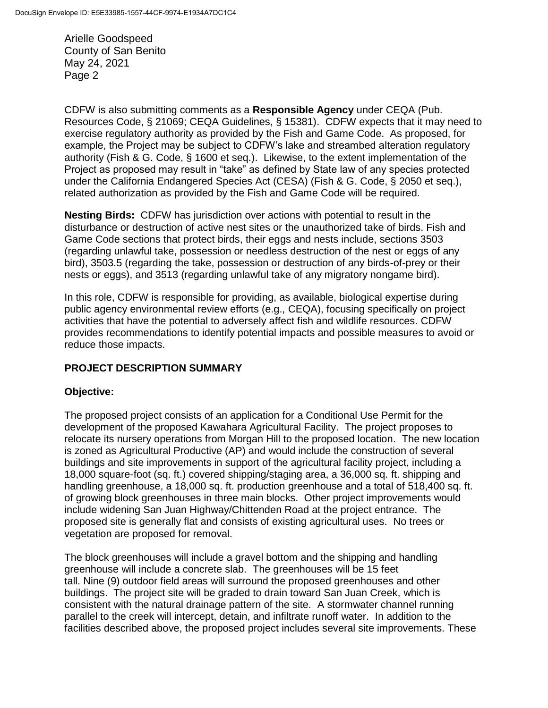CDFW is also submitting comments as a **Responsible Agency** under CEQA (Pub. Resources Code, § 21069; CEQA Guidelines, § 15381). CDFW expects that it may need to exercise regulatory authority as provided by the Fish and Game Code. As proposed, for example, the Project may be subject to CDFW's lake and streambed alteration regulatory authority (Fish & G. Code, § 1600 et seq.). Likewise, to the extent implementation of the Project as proposed may result in "take" as defined by State law of any species protected under the California Endangered Species Act (CESA) (Fish & G. Code, § 2050 et seq.), related authorization as provided by the Fish and Game Code will be required.

**Nesting Birds:** CDFW has jurisdiction over actions with potential to result in the disturbance or destruction of active nest sites or the unauthorized take of birds. Fish and Game Code sections that protect birds, their eggs and nests include, sections 3503 (regarding unlawful take, possession or needless destruction of the nest or eggs of any bird), 3503.5 (regarding the take, possession or destruction of any birds-of-prey or their nests or eggs), and 3513 (regarding unlawful take of any migratory nongame bird).

In this role, CDFW is responsible for providing, as available, biological expertise during public agency environmental review efforts (e.g., CEQA), focusing specifically on project activities that have the potential to adversely affect fish and wildlife resources. CDFW provides recommendations to identify potential impacts and possible measures to avoid or reduce those impacts.

# **PROJECT DESCRIPTION SUMMARY**

# **Objective:**

The proposed project consists of an application for a Conditional Use Permit for the development of the proposed Kawahara Agricultural Facility. The project proposes to relocate its nursery operations from Morgan Hill to the proposed location. The new location is zoned as Agricultural Productive (AP) and would include the construction of several buildings and site improvements in support of the agricultural facility project, including a 18,000 square-foot (sq. ft.) covered shipping/staging area, a 36,000 sq. ft. shipping and handling greenhouse, a 18,000 sq. ft. production greenhouse and a total of 518,400 sq. ft. of growing block greenhouses in three main blocks. Other project improvements would include widening San Juan Highway/Chittenden Road at the project entrance. The proposed site is generally flat and consists of existing agricultural uses. No trees or vegetation are proposed for removal.

The block greenhouses will include a gravel bottom and the shipping and handling greenhouse will include a concrete slab. The greenhouses will be 15 feet tall. Nine (9) outdoor field areas will surround the proposed greenhouses and other buildings. The project site will be graded to drain toward San Juan Creek, which is consistent with the natural drainage pattern of the site. A stormwater channel running parallel to the creek will intercept, detain, and infiltrate runoff water. In addition to the facilities described above, the proposed project includes several site improvements. These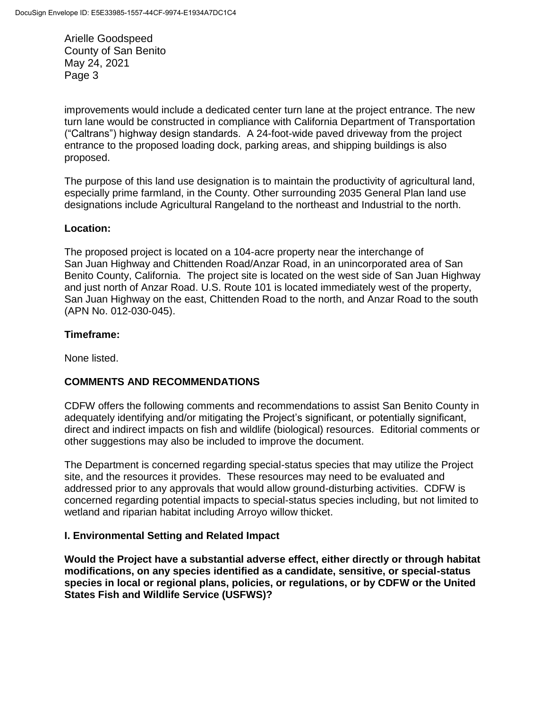improvements would include a dedicated center turn lane at the project entrance. The new turn lane would be constructed in compliance with California Department of Transportation ("Caltrans") highway design standards. A 24-foot-wide paved driveway from the project entrance to the proposed loading dock, parking areas, and shipping buildings is also proposed.

The purpose of this land use designation is to maintain the productivity of agricultural land, especially prime farmland, in the County. Other surrounding 2035 General Plan land use designations include Agricultural Rangeland to the northeast and Industrial to the north.

### **Location:**

The proposed project is located on a 104-acre property near the interchange of San Juan Highway and Chittenden Road/Anzar Road, in an unincorporated area of San Benito County, California. The project site is located on the west side of San Juan Highway and just north of Anzar Road. U.S. Route 101 is located immediately west of the property, San Juan Highway on the east, Chittenden Road to the north, and Anzar Road to the south (APN No. 012-030-045).

### **Timeframe:**

None listed.

# **COMMENTS AND RECOMMENDATIONS**

CDFW offers the following comments and recommendations to assist San Benito County in adequately identifying and/or mitigating the Project's significant, or potentially significant, direct and indirect impacts on fish and wildlife (biological) resources. Editorial comments or other suggestions may also be included to improve the document.

The Department is concerned regarding special-status species that may utilize the Project site, and the resources it provides. These resources may need to be evaluated and addressed prior to any approvals that would allow ground-disturbing activities. CDFW is concerned regarding potential impacts to special-status species including, but not limited to wetland and riparian habitat including Arroyo willow thicket.

### **I. Environmental Setting and Related Impact**

**Would the Project have a substantial adverse effect, either directly or through habitat modifications, on any species identified as a candidate, sensitive, or special-status species in local or regional plans, policies, or regulations, or by CDFW or the United States Fish and Wildlife Service (USFWS)?**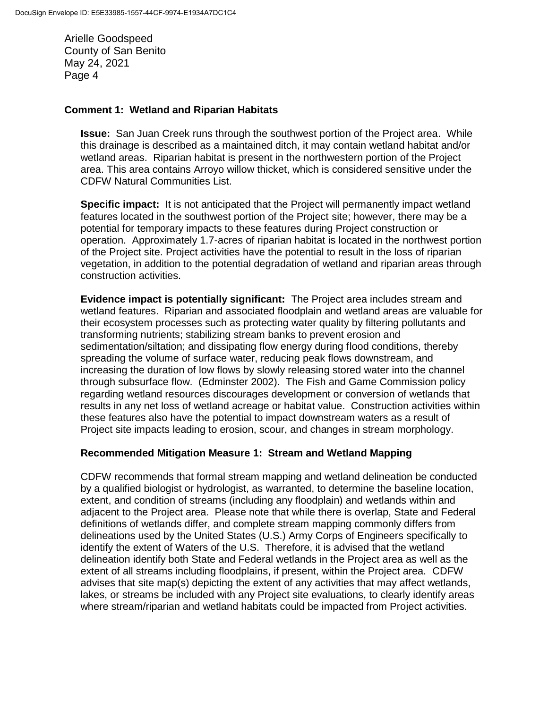#### **Comment 1: Wetland and Riparian Habitats**

**Issue:** San Juan Creek runs through the southwest portion of the Project area. While this drainage is described as a maintained ditch, it may contain wetland habitat and/or wetland areas. Riparian habitat is present in the northwestern portion of the Project area. This area contains Arroyo willow thicket, which is considered sensitive under the CDFW Natural Communities List.

**Specific impact:** It is not anticipated that the Project will permanently impact wetland features located in the southwest portion of the Project site; however, there may be a potential for temporary impacts to these features during Project construction or operation. Approximately 1.7-acres of riparian habitat is located in the northwest portion of the Project site. Project activities have the potential to result in the loss of riparian vegetation, in addition to the potential degradation of wetland and riparian areas through construction activities.

**Evidence impact is potentially significant:** The Project area includes stream and wetland features. Riparian and associated floodplain and wetland areas are valuable for their ecosystem processes such as protecting water quality by filtering pollutants and transforming nutrients; stabilizing stream banks to prevent erosion and sedimentation/siltation; and dissipating flow energy during flood conditions, thereby spreading the volume of surface water, reducing peak flows downstream, and increasing the duration of low flows by slowly releasing stored water into the channel through subsurface flow. (Edminster 2002). The Fish and Game Commission policy regarding wetland resources discourages development or conversion of wetlands that results in any net loss of wetland acreage or habitat value. Construction activities within these features also have the potential to impact downstream waters as a result of Project site impacts leading to erosion, scour, and changes in stream morphology.

### **Recommended Mitigation Measure 1: Stream and Wetland Mapping**

CDFW recommends that formal stream mapping and wetland delineation be conducted by a qualified biologist or hydrologist, as warranted, to determine the baseline location, extent, and condition of streams (including any floodplain) and wetlands within and adjacent to the Project area. Please note that while there is overlap, State and Federal definitions of wetlands differ, and complete stream mapping commonly differs from delineations used by the United States (U.S.) Army Corps of Engineers specifically to identify the extent of Waters of the U.S. Therefore, it is advised that the wetland delineation identify both State and Federal wetlands in the Project area as well as the extent of all streams including floodplains, if present, within the Project area. CDFW advises that site map(s) depicting the extent of any activities that may affect wetlands, lakes, or streams be included with any Project site evaluations, to clearly identify areas where stream/riparian and wetland habitats could be impacted from Project activities.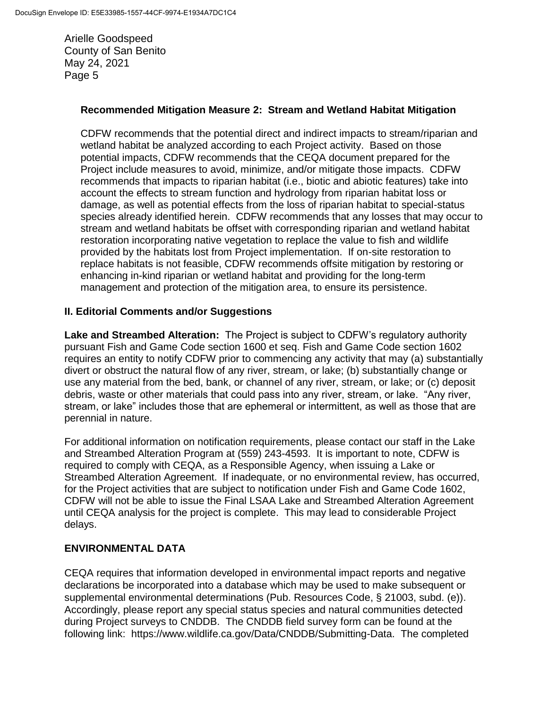### **Recommended Mitigation Measure 2: Stream and Wetland Habitat Mitigation**

CDFW recommends that the potential direct and indirect impacts to stream/riparian and wetland habitat be analyzed according to each Project activity. Based on those potential impacts, CDFW recommends that the CEQA document prepared for the Project include measures to avoid, minimize, and/or mitigate those impacts. CDFW recommends that impacts to riparian habitat (i.e., biotic and abiotic features) take into account the effects to stream function and hydrology from riparian habitat loss or damage, as well as potential effects from the loss of riparian habitat to special-status species already identified herein. CDFW recommends that any losses that may occur to stream and wetland habitats be offset with corresponding riparian and wetland habitat restoration incorporating native vegetation to replace the value to fish and wildlife provided by the habitats lost from Project implementation. If on-site restoration to replace habitats is not feasible, CDFW recommends offsite mitigation by restoring or enhancing in-kind riparian or wetland habitat and providing for the long-term management and protection of the mitigation area, to ensure its persistence.

### **II. Editorial Comments and/or Suggestions**

**Lake and Streambed Alteration:** The Project is subject to CDFW's regulatory authority pursuant Fish and Game Code section 1600 et seq. Fish and Game Code section 1602 requires an entity to notify CDFW prior to commencing any activity that may (a) substantially divert or obstruct the natural flow of any river, stream, or lake; (b) substantially change or use any material from the bed, bank, or channel of any river, stream, or lake; or (c) deposit debris, waste or other materials that could pass into any river, stream, or lake. "Any river, stream, or lake" includes those that are ephemeral or intermittent, as well as those that are perennial in nature.

For additional information on notification requirements, please contact our staff in the Lake and Streambed Alteration Program at (559) 243-4593. It is important to note, CDFW is required to comply with CEQA, as a Responsible Agency, when issuing a Lake or Streambed Alteration Agreement. If inadequate, or no environmental review, has occurred, for the Project activities that are subject to notification under Fish and Game Code 1602, CDFW will not be able to issue the Final LSAA Lake and Streambed Alteration Agreement until CEQA analysis for the project is complete. This may lead to considerable Project delays.

# **ENVIRONMENTAL DATA**

CEQA requires that information developed in environmental impact reports and negative declarations be incorporated into a database which may be used to make subsequent or supplemental environmental determinations (Pub. Resources Code, § 21003, subd. (e)). Accordingly, please report any special status species and natural communities detected during Project surveys to CNDDB. The CNDDB field survey form can be found at the following link: https://www.wildlife.ca.gov/Data/CNDDB/Submitting-Data. The completed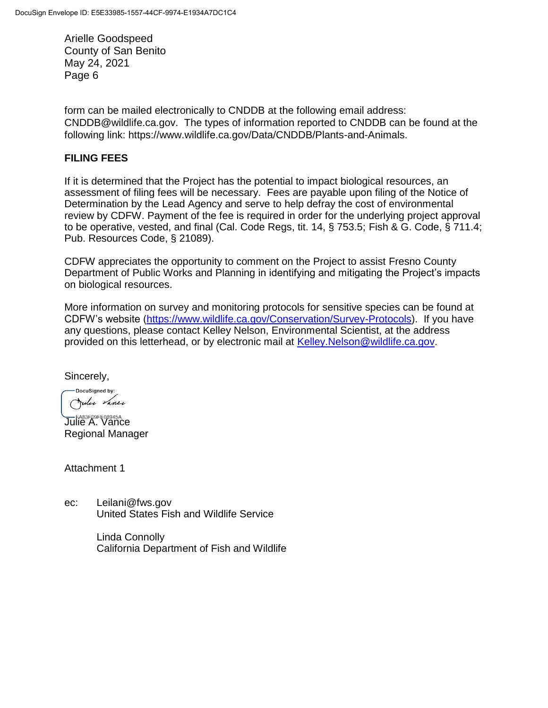form can be mailed electronically to CNDDB at the following email address: CNDDB@wildlife.ca.gov. The types of information reported to CNDDB can be found at the following link: https://www.wildlife.ca.gov/Data/CNDDB/Plants-and-Animals.

# **FILING FEES**

If it is determined that the Project has the potential to impact biological resources, an assessment of filing fees will be necessary. Fees are payable upon filing of the Notice of Determination by the Lead Agency and serve to help defray the cost of environmental review by CDFW. Payment of the fee is required in order for the underlying project approval to be operative, vested, and final (Cal. Code Regs, tit. 14, § 753.5; Fish & G. Code, § 711.4; Pub. Resources Code, § 21089).

CDFW appreciates the opportunity to comment on the Project to assist Fresno County Department of Public Works and Planning in identifying and mitigating the Project's impacts on biological resources.

More information on survey and monitoring protocols for sensitive species can be found at CDFW's website [\(https://www.wildlife.ca.gov/Conservation/Survey-Protocols\)](http://dfgintranet/Portal/LinkClick.aspx?fileticket=wBG3wBk2T7M=&tabid=260&web=1). If you have any questions, please contact Kelley Nelson, Environmental Scientist, at the address provided on this letterhead, or by electronic mail at [Kelley.Nelson@wildlife.ca.gov.](mailto:Kelley.Nelson@wildlife.ca.gov)

Sincerely,

DocuSigned by: Julie Vance

**Julie A. Vance** Regional Manager

Attachment 1

ec: Leilani@fws.gov United States Fish and Wildlife Service

> Linda Connolly California Department of Fish and Wildlife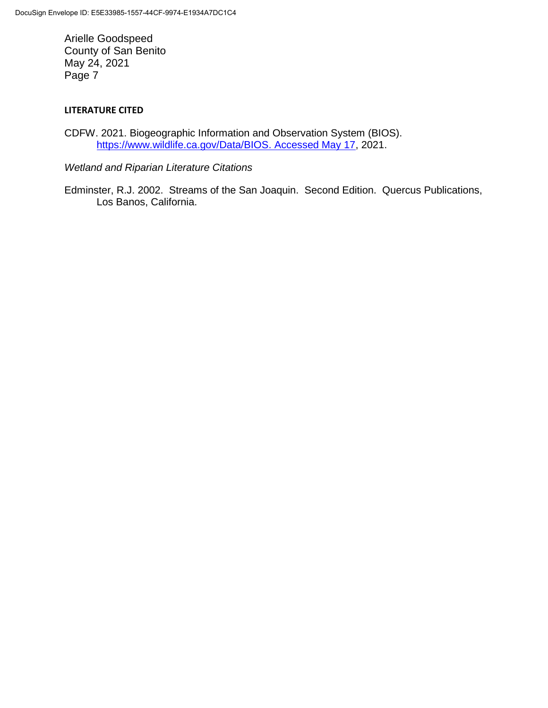### **LITERATURE CITED**

CDFW. 2021. Biogeographic Information and Observation System (BIOS). [https://www.wildlife.ca.gov/Data/BIOS. Accessed May 17,](https://www.wildlife.ca.gov/Data/BIOS.%20Accessed%20May%2017) 2021.

*Wetland and Riparian Literature Citations*

Edminster, R.J. 2002. Streams of the San Joaquin. Second Edition. Quercus Publications, Los Banos, California.